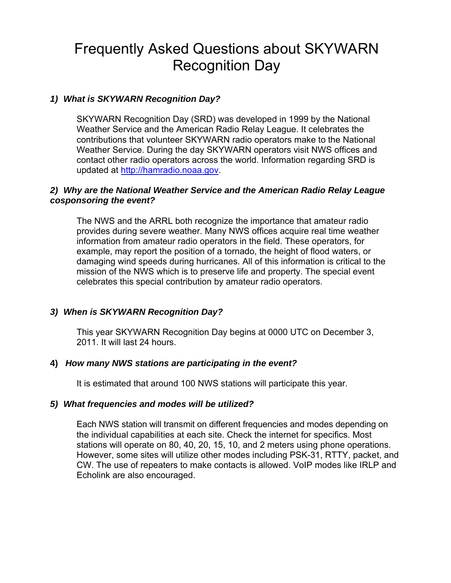# Frequently Asked Questions about SKYWARN Recognition Day

# *1) What is SKYWARN Recognition Day?*

SKYWARN Recognition Day (SRD) was developed in 1999 by the National Weather Service and the American Radio Relay League. It celebrates the contributions that volunteer SKYWARN radio operators make to the National Weather Service. During the day SKYWARN operators visit NWS offices and contact other radio operators across the world. Information regarding SRD is updated at [http://hamradio.noaa.gov.](http://hamradio.noaa.gov/)

# *2) Why are the National Weather Service and the American Radio Relay League cosponsoring the event?*

The NWS and the ARRL both recognize the importance that amateur radio provides during severe weather. Many NWS offices acquire real time weather information from amateur radio operators in the field. These operators, for example, may report the position of a tornado, the height of flood waters, or damaging wind speeds during hurricanes. All of this information is critical to the mission of the NWS which is to preserve life and property. The special event celebrates this special contribution by amateur radio operators.

# *3) When is SKYWARN Recognition Day?*

This year SKYWARN Recognition Day begins at 0000 UTC on December 3, 2011. It will last 24 hours.

# **4)** *How many NWS stations are participating in the event?*

It is estimated that around 100 NWS stations will participate this year.

# *5) What frequencies and modes will be utilized?*

Each NWS station will transmit on different frequencies and modes depending on the individual capabilities at each site. Check the internet for specifics. Most stations will operate on 80, 40, 20, 15, 10, and 2 meters using phone operations. However, some sites will utilize other modes including PSK-31, RTTY, packet, and CW. The use of repeaters to make contacts is allowed. VoIP modes like IRLP and Echolink are also encouraged.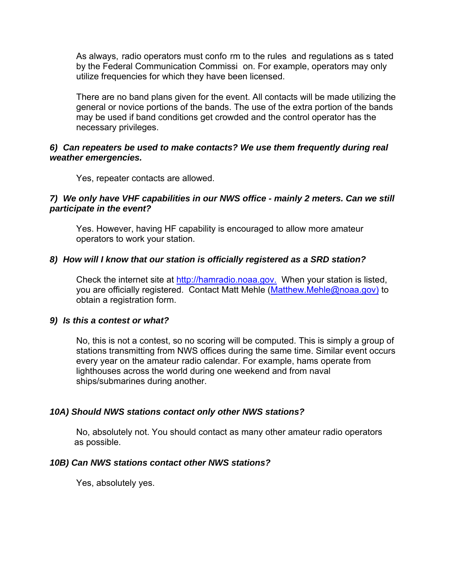As always, radio operators must confo rm to the rules and regulations as s tated by the Federal Communication Commissi on. For example, operators may only utilize frequencies for which they have been licensed.

There are no band plans given for the event. All contacts will be made utilizing the general or novice portions of the bands. The use of the extra portion of the bands may be used if band conditions get crowded and the control operator has the necessary privileges.

#### *6) Can repeaters be used to make contacts? We use them frequently during real weather emergencies.*

Yes, repeater contacts are allowed.

#### *7) We only have VHF capabilities in our NWS office - mainly 2 meters. Can we still participate in the event?*

Yes. However, having HF capability is encouraged to allow more amateur operators to work your station.

#### *8) How will I know that our station is officially registered as a SRD station?*

Check the internet site at [http://hamradio.noaa.gov](http://hamradio.noaa.gov/). When your station is listed, you are officially registered. Contact Matt Mehle ([Matthew.Mehle@noaa.gov](mailto:Matthew.Mehle@noaa.gov)) to obtain a registration form.

#### *9) Is this a contest or what?*

No, this is not a contest, so no scoring will be computed. This is simply a group of stations transmitting from NWS offices during the same time. Similar event occurs every year on the amateur radio calendar. For example, hams operate from lighthouses across the world during one weekend and from naval ships/submarines during another.

#### *10A) Should NWS stations contact only other NWS stations?*

 No, absolutely not. You should contact as many other amateur radio operators as possible.

#### *10B) Can NWS stations contact other NWS stations?*

Yes, absolutely yes.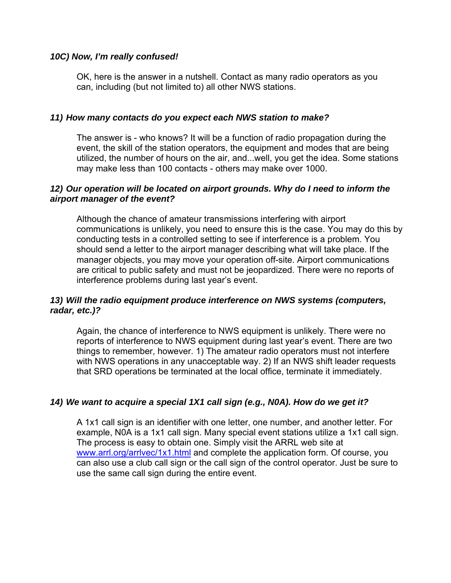# *10C) Now, I'm really confused!*

OK, here is the answer in a nutshell. Contact as many radio operators as you can, including (but not limited to) all other NWS stations.

# *11) How many contacts do you expect each NWS station to make?*

The answer is - who knows? It will be a function of radio propagation during the event, the skill of the station operators, the equipment and modes that are being utilized, the number of hours on the air, and...well, you get the idea. Some stations may make less than 100 contacts - others may make over 1000.

# *12) Our operation will be located on airport grounds. Why do I need to inform the airport manager of the event?*

Although the chance of amateur transmissions interfering with airport communications is unlikely, you need to ensure this is the case. You may do this by conducting tests in a controlled setting to see if interference is a problem. You should send a letter to the airport manager describing what will take place. If the manager objects, you may move your operation off-site. Airport communications are critical to public safety and must not be jeopardized. There were no reports of interference problems during last year's event.

# *13) Will the radio equipment produce interference on NWS systems (computers, radar, etc.)?*

Again, the chance of interference to NWS equipment is unlikely. There were no reports of interference to NWS equipment during last year's event. There are two things to remember, however. 1) The amateur radio operators must not interfere with NWS operations in any unacceptable way. 2) If an NWS shift leader requests that SRD operations be terminated at the local office, terminate it immediately.

# *14) We want to acquire a special 1X1 call sign (e.g., N0A). How do we get it?*

A 1x1 call sign is an identifier with one letter, one number, and another letter. For example, N0A is a 1x1 call sign. Many special event stations utilize a 1x1 call sign. The process is easy to obtain one. Simply visit the ARRL web site at www.arrl.org/arrivec/1x1.html and complete the application form. Of course, you can also use a club call sign or the call sign of the control operator. Just be sure to use the same call sign during the entire event.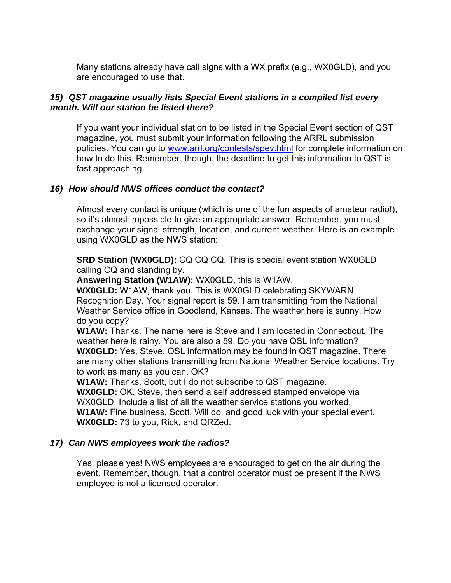Many stations already have call signs with a WX prefix (e.g., WX0GLD), and you are encouraged to use that.

# *15) QST magazine usually lists Special Event stations in a compiled list every month. Will our station be listed there?*

If you want your individual station to be listed in the Special Event section of QST magazine, you must submit your information following the ARRL submission policies. You can go to [www.arrl.org/contests/spev.html](http://www.arrl.org/contests/spev.html) for complete information on how to do this. Remember, though, the deadline to get this information to QST is fast approaching.

# *16) How should NWS offices conduct the contact?*

Almost every contact is unique (which is one of the fun aspects of amateur radio!), so it's almost impossible to give an appropriate answer. Remember, you must exchange your signal strength, location, and current weather. Here is an example using WX0GLD as the NWS station:

**SRD Station (WX0GLD):** CQ CQ CQ. This is special event station WX0GLD calling CQ and standing by.

**Answering Station (W1AW):** WX0GLD, this is W1AW.

**WX0GLD:** W1AW, thank you. This is WX0GLD celebrating SKYWARN Recognition Day. Your signal report is 59. I am transmitting from the National Weather Service office in Goodland, Kansas. The weather here is sunny. How do you copy?

**W1AW:** Thanks. The name here is Steve and I am located in Connecticut. The weather here is rainy. You are also a 59. Do you have QSL information? **WX0GLD:** Yes, Steve. QSL information may be found in QST magazine. There are many other stations transmitting from National Weather Service locations. Try to work as many as you can. OK?

**W1AW:** Thanks, Scott, but I do not subscribe to QST magazine.

**WX0GLD:** OK, Steve, then send a self addressed stamped envelope via WX0GLD. Include a list of all the weather service stations you worked. **W1AW:** Fine business, Scott. Will do, and good luck with your special event. **WX0GLD:** 73 to you, Rick, and QRZed.

# *17) Can NWS employees work the radios?*

Yes, please yes! NWS employees are encouraged to get on the air during the event. Remember, though, that a control operator must be present if the NWS employee is not a licensed operator.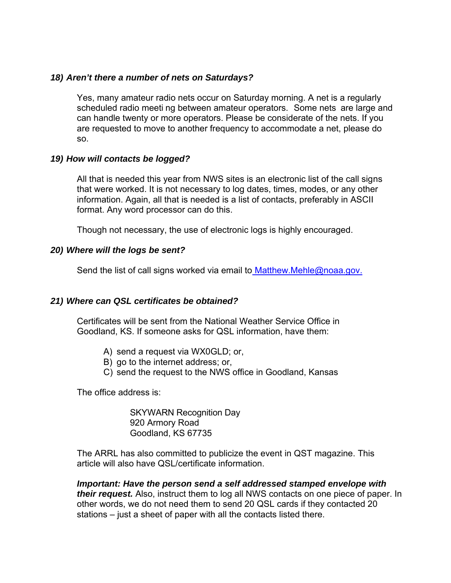#### *18) Aren't there a number of nets on Saturdays?*

Yes, many amateur radio nets occur on Saturday morning. A net is a regularly scheduled radio meeti ng between amateur operators. Some nets are large and can handle twenty or more operators. Please be considerate of the nets. If you are requested to move to another frequency to accommodate a net, please do so.

#### *19) How will contacts be logged?*

All that is needed this year from NWS sites is an electronic list of the call signs that were worked. It is not necessary to log dates, times, modes, or any other information. Again, all that is needed is a list of contacts, preferably in ASCII format. Any word processor can do this.

Though not necessary, the use of electronic logs is highly encouraged.

#### *20) Where will the logs be sent?*

Send the list of call signs worked via email to **[Matthew.Mehle@noaa.gov.](mailto:Matthew.Mehle@noaa.gov)** 

# *21) Where can QSL certificates be obtained?*

Certificates will be sent from the National Weather Service Office in Goodland, KS. If someone asks for QSL information, have them:

- A) send a request via WX0GLD; or,
- B) go to the internet address; or,
- C) send the request to the NWS office in Goodland, Kansas

The office address is:

SKYWARN Recognition Day 920 Armory Road Goodland, KS 67735

The ARRL has also committed to publicize the event in QST magazine. This article will also have QSL/certificate information.

*Important: Have the person send a self addressed stamped envelope with their request.* Also, instruct them to log all NWS contacts on one piece of paper. In other words, we do not need them to send 20 QSL cards if they contacted 20 stations – just a sheet of paper with all the contacts listed there.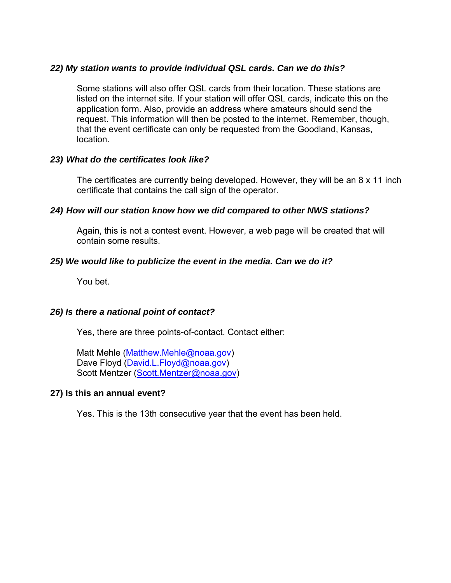# *22) My station wants to provide individual QSL cards. Can we do this?*

Some stations will also offer QSL cards from their location. These stations are listed on the internet site. If your station will offer QSL cards, indicate this on the application form. Also, provide an address where amateurs should send the request. This information will then be posted to the internet. Remember, though, that the event certificate can only be requested from the Goodland, Kansas, location.

# *23) What do the certificates look like?*

The certificates are currently being developed. However, they will be an 8 x 11 inch certificate that contains the call sign of the operator.

# *24) How will our station know how we did compared to other NWS stations?*

Again, this is not a contest event. However, a web page will be created that will contain some results.

# *25) We would like to publicize the event in the media. Can we do it?*

You bet.

# *26) Is there a national point of contact?*

Yes, there are three points-of-contact. Contact either:

Matt Mehle [\(Matthew.Mehle@noaa.gov\)](mailto:Matthew.Mehle@noaa.gov) Dave Floyd [\(David.L.Floyd@noaa.gov](mailto:David.L.Floyd@noaa.gov)) Scott Mentzer ([Scott.Mentzer@noaa.gov](mailto:Scott.Mentzer@noaa.gov))

# **27) Is this an annual event?**

Yes. This is the 13th consecutive year that the event has been held.